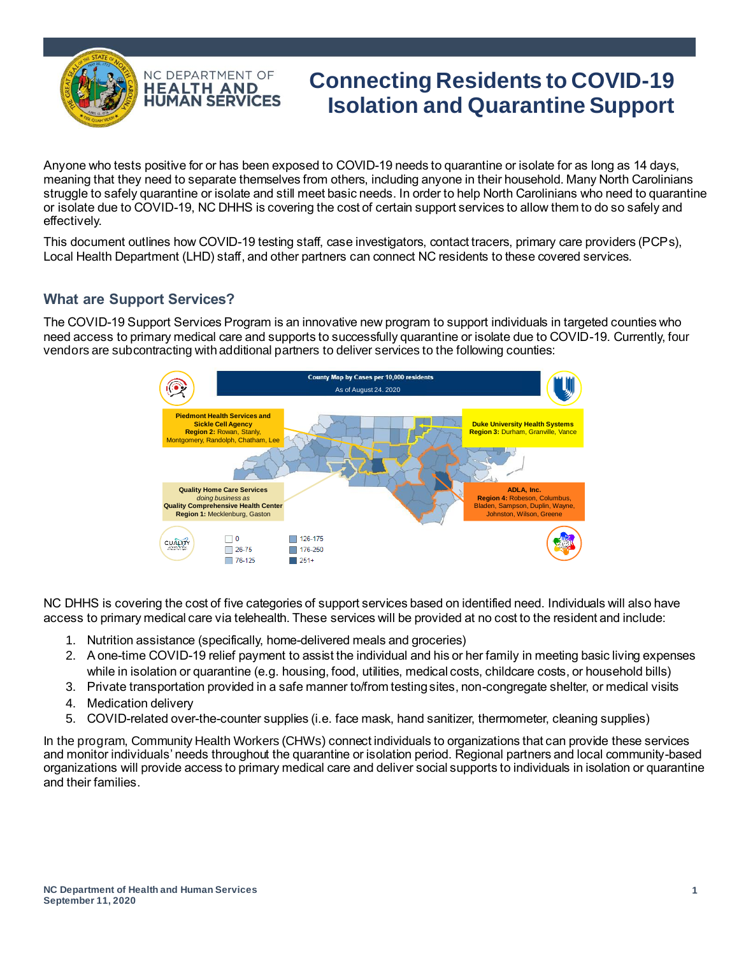

# **Connecting Residents to COVID-19 Isolation and Quarantine Support**

Anyone who tests positive for or has been exposed to COVID-19 needs to quarantine or isolate for as long as 14 days, meaning that they need to separate themselves from others, including anyone in their household. Many North Carolinians struggle to safely quarantine or isolate and still meet basic needs. In order to help North Carolinians who need to quarantine or isolate due to COVID-19, NC DHHS is covering the cost of certain support services to allow them to do so safely and effectively.

This document outlines how COVID-19 testing staff, case investigators, contact tracers, primary care providers (PCPs), Local Health Department (LHD) staff, and other partners can connect NC residents to these covered services.

## **What are Support Services?**

The COVID-19 Support Services Program is an innovative new program to support individuals in targeted counties who need access to primary medical care and supports to successfully quarantine or isolate due to COVID-19. Currently, four vendors are subcontracting with additional partners to deliver services to the following counties:



NC DHHS is covering the cost of five categories of support services based on identified need. Individuals will also have access to primary medical care via telehealth. These services will be provided at no cost to the resident and include:

- 1. Nutrition assistance (specifically, home-delivered meals and groceries)
- 2. A one-time COVID-19 relief payment to assist the individual and his or her family in meeting basic living expenses while in isolation or quarantine (e.g. housing, food, utilities, medical costs, childcare costs, or household bills)
- 3. Private transportation provided in a safe manner to/from testing sites, non-congregate shelter, or medical visits
- 4. Medication delivery
- 5. COVID-related over-the-counter supplies (i.e. face mask, hand sanitizer, thermometer, cleaning supplies)

In the program, Community Health Workers (CHWs) connect individuals to organizations that can provide these services and monitor individuals' needs throughout the quarantine or isolation period. Regional partners and local community-based organizations will provide access to primary medical care and deliver social supports to individuals in isolation or quarantine and their families.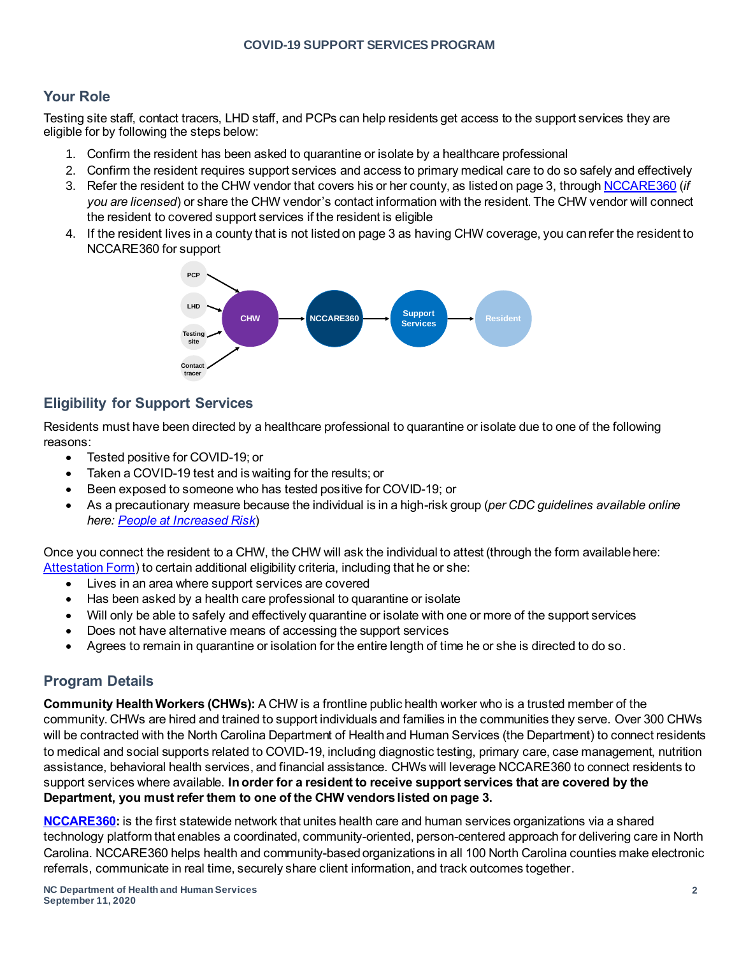#### **Your Role**

Testing site staff, contact tracers, LHD staff, and PCPs can help residents get access to the support services they are eligible for by following the steps below:

- 1. Confirm the resident has been asked to quarantine or isolate by a healthcare professional
- 2. Confirm the resident requires support services and access to primary medical care to do so safely and effectively
- 3. Refer the resident to the CHW vendor that covers his or her county, as listed on page 3, through [NCCARE360](https://nccare360.org/) (*if you are licensed*) or share the CHW vendor's contact information with the resident. The CHW vendor will connect the resident to covered support services if the resident is eligible
- 4. If the resident lives in a county that is not listed on page 3 as having CHW coverage, you can refer the resident to NCCARE360 for support



# **Eligibility for Support Services**

Residents must have been directed by a healthcare professional to quarantine or isolate due to one of the following reasons:

- Tested positive for COVID-19; or
- Taken a COVID-19 test and is waiting for the results; or
- Been exposed to someone who has tested positive for COVID-19; or
- As a precautionary measure because the individual is in a high-risk group (*per CDC guidelines available online here: [People at Increased Risk](https://www.cdc.gov/coronavirus/2019-ncov/need-extra-precautions/index.html)*)

Once you connect the resident to a CHW, the CHW will ask the individual to attest (through the form available here: [Attestation Form](https://files.nc.gov/covid/documents/COVID-19-Support-Services-Attestation-Form.pdf)) to certain additional eligibility criteria, including that he or she:

- Lives in an area where support services are covered
- Has been asked by a health care professional to quarantine or isolate
- Will only be able to safely and effectively quarantine or isolate with one or more of the support services
- Does not have alternative means of accessing the support services
- Agrees to remain in quarantine or isolation for the entire length of time he or she is directed to do so.

# **Program Details**

**Community Health Workers (CHWs):** A CHW is a frontline public health worker who is a trusted member of the community. CHWs are hired and trained to support individuals and families in the communities they serve. Over 300 CHWs will be contracted with the North Carolina Department of Health and Human Services (the Department) to connect residents to medical and social supports related to COVID-19, including diagnostic testing, primary care, case management, nutrition assistance, behavioral health services, and financial assistance. CHWs will leverage NCCARE360 to connect residents to support services where available. **In order for a resident to receive support services that are covered by the Department, you must refer them to one of the CHW vendors listed on page 3.**

**[NCCARE360:](https://nccare360.org/)** is the first statewide network that unites health care and human services organizations via a shared technology platform that enables a coordinated, community-oriented, person-centered approach for delivering care in North Carolina. NCCARE360 helps health and community-based organizations in all 100 North Carolina counties make electronic referrals, communicate in real time, securely share client information, and track outcomes together.